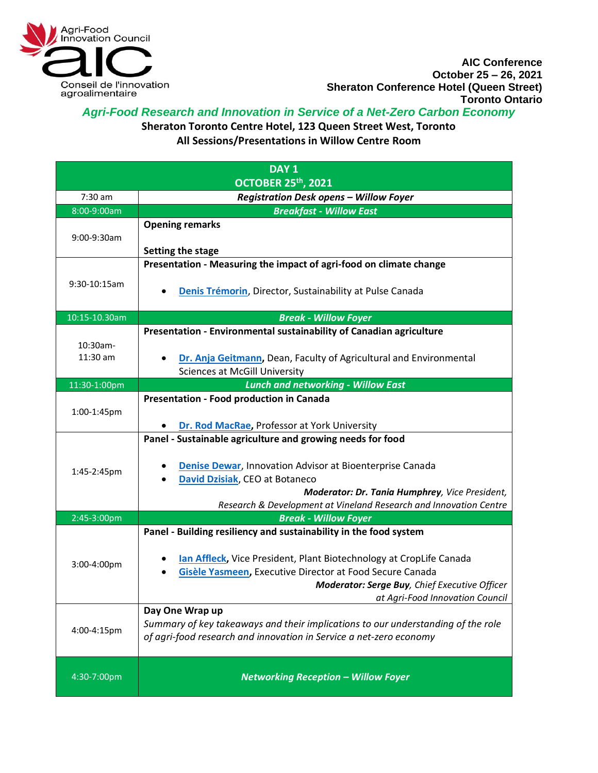

## *Agri-Food Research and Innovation in Service of a Net-Zero Carbon Economy*

**Sheraton Toronto Centre Hotel, 123 Queen Street West, Toronto** 

**All Sessions/Presentations in Willow Centre Room**

| DAY <sub>1</sub>          |                                                                                                                                                                                                                                                                                          |
|---------------------------|------------------------------------------------------------------------------------------------------------------------------------------------------------------------------------------------------------------------------------------------------------------------------------------|
| <b>OCTOBER 25th, 2021</b> |                                                                                                                                                                                                                                                                                          |
| $7:30$ am                 | <b>Registration Desk opens - Willow Foyer</b>                                                                                                                                                                                                                                            |
| 8:00-9:00am               | <b>Breakfast - Willow East</b>                                                                                                                                                                                                                                                           |
| 9:00-9:30am               | <b>Opening remarks</b>                                                                                                                                                                                                                                                                   |
|                           | Setting the stage<br>Presentation - Measuring the impact of agri-food on climate change                                                                                                                                                                                                  |
| 9:30-10:15am              | Denis Trémorin, Director, Sustainability at Pulse Canada                                                                                                                                                                                                                                 |
| 10:15-10.30am             | <b>Break - Willow Foyer</b>                                                                                                                                                                                                                                                              |
| 10:30am-<br>11:30 am      | Presentation - Environmental sustainability of Canadian agriculture<br>Dr. Anja Geitmann, Dean, Faculty of Agricultural and Environmental                                                                                                                                                |
|                           | <b>Sciences at McGill University</b>                                                                                                                                                                                                                                                     |
| 11:30-1:00pm              | <b>Lunch and networking - Willow East</b>                                                                                                                                                                                                                                                |
| 1:00-1:45pm               | Presentation - Food production in Canada                                                                                                                                                                                                                                                 |
|                           | Dr. Rod MacRae, Professor at York University                                                                                                                                                                                                                                             |
| 1:45-2:45pm               | Panel - Sustainable agriculture and growing needs for food<br><b>Denise Dewar, Innovation Advisor at Bioenterprise Canada</b><br>David Dzisiak, CEO at Botaneco<br>Moderator: Dr. Tania Humphrey, Vice President,<br>Research & Development at Vineland Research and Innovation Centre   |
| 2:45-3:00pm               | <b>Break - Willow Foyer</b>                                                                                                                                                                                                                                                              |
| 3:00-4:00pm               | Panel - Building resiliency and sustainability in the food system<br>lan Affleck, Vice President, Plant Biotechnology at CropLife Canada<br>Gisèle Yasmeen, Executive Director at Food Secure Canada<br>Moderator: Serge Buy, Chief Executive Officer<br>at Agri-Food Innovation Council |
| 4:00-4:15pm               | Day One Wrap up<br>Summary of key takeaways and their implications to our understanding of the role<br>of agri-food research and innovation in Service a net-zero economy                                                                                                                |
| 4:30-7:00pm               | <b>Networking Reception - Willow Foyer</b>                                                                                                                                                                                                                                               |